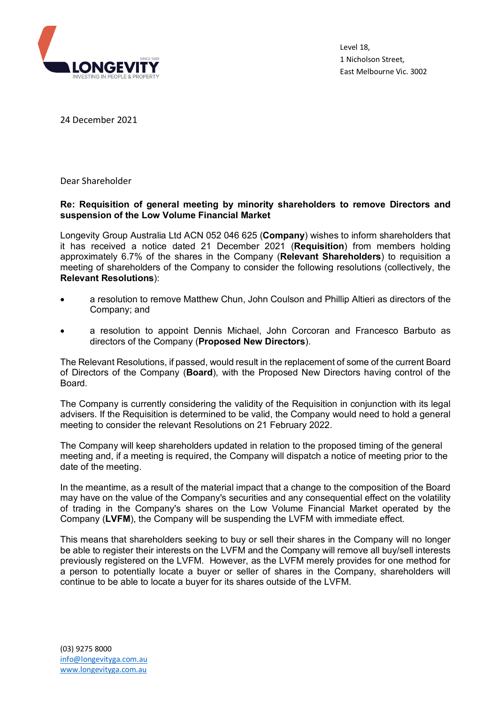

Level 18, 1 Nicholson Street, East Melbourne Vic. 3002

24 December 2021

Dear Shareholder

## **Re: Requisition of general meeting by minority shareholders to remove Directors and suspension of the Low Volume Financial Market**

Longevity Group Australia Ltd ACN 052 046 625 (**Company**) wishes to inform shareholders that it has received a notice dated 21 December 2021 (**Requisition**) from members holding approximately 6.7% of the shares in the Company (**Relevant Shareholders**) to requisition a meeting of shareholders of the Company to consider the following resolutions (collectively, the **Relevant Resolutions**):

- a resolution to remove Matthew Chun, John Coulson and Phillip Altieri as directors of the Company; and
- a resolution to appoint Dennis Michael, John Corcoran and Francesco Barbuto as directors of the Company (**Proposed New Directors**).

The Relevant Resolutions, if passed, would result in the replacement of some of the current Board of Directors of the Company (**Board**), with the Proposed New Directors having control of the Board.

The Company is currently considering the validity of the Requisition in conjunction with its legal advisers. If the Requisition is determined to be valid, the Company would need to hold a general meeting to consider the relevant Resolutions on 21 February 2022.

The Company will keep shareholders updated in relation to the proposed timing of the general meeting and, if a meeting is required, the Company will dispatch a notice of meeting prior to the date of the meeting.

In the meantime, as a result of the material impact that a change to the composition of the Board may have on the value of the Company's securities and any consequential effect on the volatility of trading in the Company's shares on the Low Volume Financial Market operated by the Company (**LVFM**), the Company will be suspending the LVFM with immediate effect.

This means that shareholders seeking to buy or sell their shares in the Company will no longer be able to register their interests on the LVFM and the Company will remove all buy/sell interests previously registered on the LVFM. However, as the LVFM merely provides for one method for a person to potentially locate a buyer or seller of shares in the Company, shareholders will continue to be able to locate a buyer for its shares outside of the LVFM.